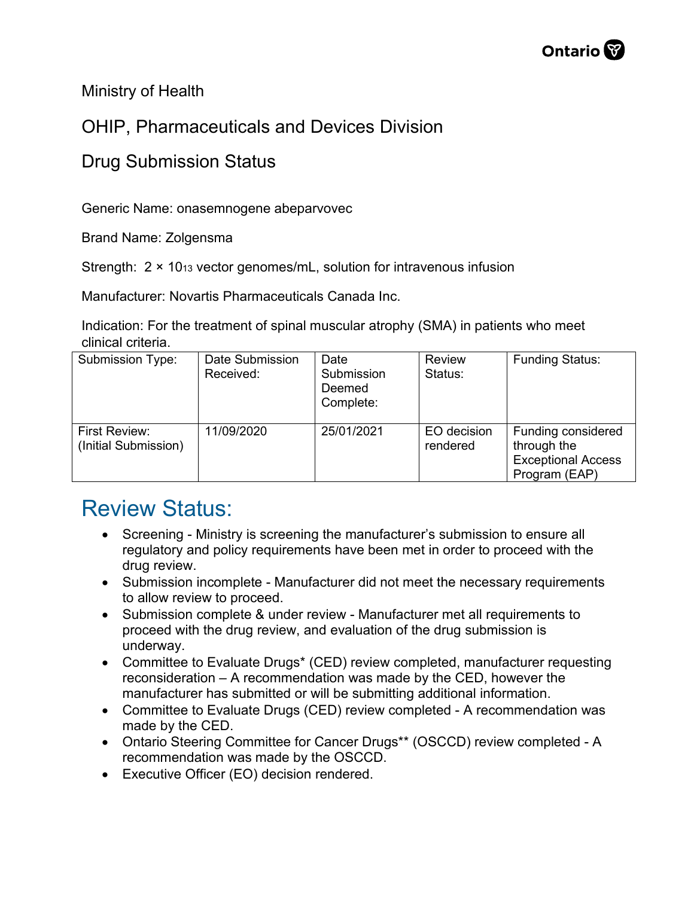Ministry of Health

## OHIP, Pharmaceuticals and Devices Division

## Drug Submission Status

Generic Name: onasemnogene abeparvovec

Brand Name: Zolgensma

Strength: 2 × 1013 vector genomes/mL, solution for intravenous infusion

Manufacturer: Novartis Pharmaceuticals Canada Inc.

Indication: For the treatment of spinal muscular atrophy (SMA) in patients who meet clinical criteria.

| Submission Type:                      | Date Submission<br>Received: | Date<br>Submission<br>Deemed<br>Complete: | <b>Review</b><br>Status: | <b>Funding Status:</b>                                                          |
|---------------------------------------|------------------------------|-------------------------------------------|--------------------------|---------------------------------------------------------------------------------|
| First Review:<br>(Initial Submission) | 11/09/2020                   | 25/01/2021                                | EO decision<br>rendered  | Funding considered<br>through the<br><b>Exceptional Access</b><br>Program (EAP) |

## Review Status:

- Screening Ministry is screening the manufacturer's submission to ensure all regulatory and policy requirements have been met in order to proceed with the drug review.
- Submission incomplete Manufacturer did not meet the necessary requirements to allow review to proceed.
- Submission complete & under review Manufacturer met all requirements to proceed with the drug review, and evaluation of the drug submission is underway.
- Committee to Evaluate Drugs\* (CED) review completed, manufacturer requesting reconsideration – A recommendation was made by the CED, however the manufacturer has submitted or will be submitting additional information.
- Committee to Evaluate Drugs (CED) review completed A recommendation was made by the CED.
- Ontario Steering Committee for Cancer Drugs\*\* (OSCCD) review completed A recommendation was made by the OSCCD.
- Executive Officer (EO) decision rendered.